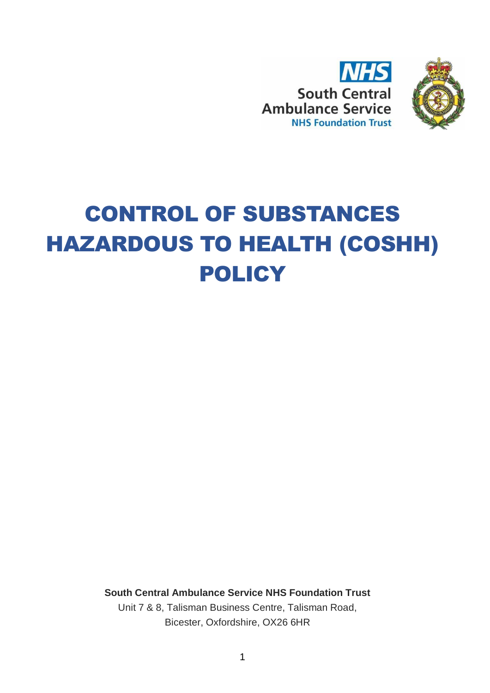



# CONTROL OF SUBSTANCES HAZARDOUS TO HEALTH (COSHH) POLICY

**South Central Ambulance Service NHS Foundation Trust**

Unit 7 & 8, Talisman Business Centre, Talisman Road, Bicester, Oxfordshire, OX26 6HR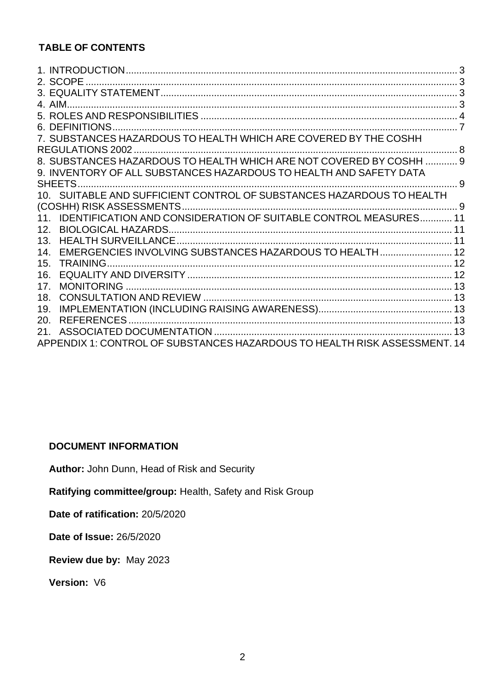# **TABLE OF CONTENTS**

| 6. DEFINITIONS                                                            |  |
|---------------------------------------------------------------------------|--|
| 7. SUBSTANCES HAZARDOUS TO HEALTH WHICH ARE COVERED BY THE COSHH          |  |
| REGULATIONS 2002.                                                         |  |
| 8. SUBSTANCES HAZARDOUS TO HEALTH WHICH ARE NOT COVERED BY COSHH  9       |  |
| 9. INVENTORY OF ALL SUBSTANCES HAZARDOUS TO HEALTH AND SAFETY DATA        |  |
|                                                                           |  |
|                                                                           |  |
|                                                                           |  |
| 11. IDENTIFICATION AND CONSIDERATION OF SUITABLE CONTROL MEASURES 11      |  |
| 12.                                                                       |  |
| $13_{-}$                                                                  |  |
| EMERGENCIES INVOLVING SUBSTANCES HAZARDOUS TO HEALTH 12<br>14             |  |
| TRAINING<br>15.                                                           |  |
| 16.                                                                       |  |
| 17 <sub>1</sub>                                                           |  |
| 18.                                                                       |  |
| 19.                                                                       |  |
| <b>REFERENCES</b><br>20.                                                  |  |
| 21.                                                                       |  |
| APPENDIX 1: CONTROL OF SUBSTANCES HAZARDOUS TO HEALTH RISK ASSESSMENT. 14 |  |

#### **DOCUMENT INFORMATION**

**Author:** John Dunn, Head of Risk and Security

**Ratifying committee/group:** Health, Safety and Risk Group

**Date of ratification:** 20/5/2020

**Date of Issue:** 26/5/2020

**Review due by:** May 2023

**Version:** V6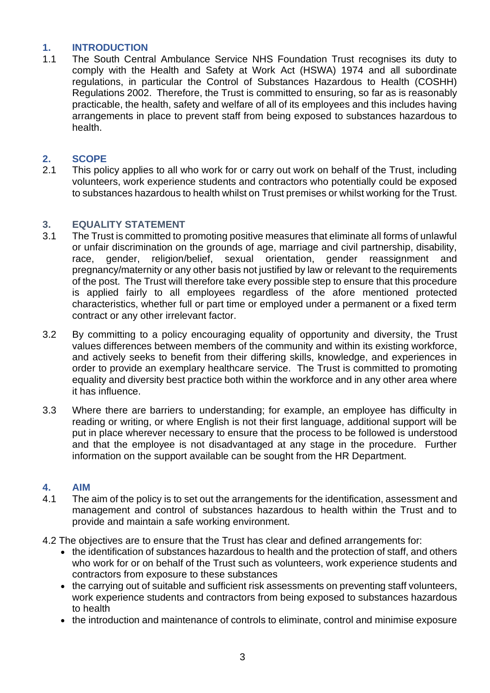# <span id="page-2-0"></span>**1. INTRODUCTION**

The South Central Ambulance Service NHS Foundation Trust recognises its duty to comply with the Health and Safety at Work Act (HSWA) 1974 and all subordinate regulations, in particular the Control of Substances Hazardous to Health (COSHH) Regulations 2002. Therefore, the Trust is committed to ensuring, so far as is reasonably practicable, the health, safety and welfare of all of its employees and this includes having arrangements in place to prevent staff from being exposed to substances hazardous to health.

# <span id="page-2-1"></span>**2. SCOPE**

2.1 This policy applies to all who work for or carry out work on behalf of the Trust, including volunteers, work experience students and contractors who potentially could be exposed to substances hazardous to health whilst on Trust premises or whilst working for the Trust.

# <span id="page-2-2"></span>**3. EQUALITY STATEMENT**

- 3.1 The Trust is committed to promoting positive measures that eliminate all forms of unlawful or unfair discrimination on the grounds of age, marriage and civil partnership, disability, race, gender, religion/belief, sexual orientation, gender reassignment and pregnancy/maternity or any other basis not justified by law or relevant to the requirements of the post. The Trust will therefore take every possible step to ensure that this procedure is applied fairly to all employees regardless of the afore mentioned protected characteristics, whether full or part time or employed under a permanent or a fixed term contract or any other irrelevant factor.
- 3.2 By committing to a policy encouraging equality of opportunity and diversity, the Trust values differences between members of the community and within its existing workforce, and actively seeks to benefit from their differing skills, knowledge, and experiences in order to provide an exemplary healthcare service. The Trust is committed to promoting equality and diversity best practice both within the workforce and in any other area where it has influence.
- 3.3 Where there are barriers to understanding; for example, an employee has difficulty in reading or writing, or where English is not their first language, additional support will be put in place wherever necessary to ensure that the process to be followed is understood and that the employee is not disadvantaged at any stage in the procedure. Further information on the support available can be sought from the HR Department.

# <span id="page-2-3"></span>**4. AIM**

- 4.1 The aim of the policy is to set out the arrangements for the identification, assessment and management and control of substances hazardous to health within the Trust and to provide and maintain a safe working environment.
- 4.2 The objectives are to ensure that the Trust has clear and defined arrangements for:
	- the identification of substances hazardous to health and the protection of staff, and others who work for or on behalf of the Trust such as volunteers, work experience students and contractors from exposure to these substances
	- the carrying out of suitable and sufficient risk assessments on preventing staff volunteers, work experience students and contractors from being exposed to substances hazardous to health
	- the introduction and maintenance of controls to eliminate, control and minimise exposure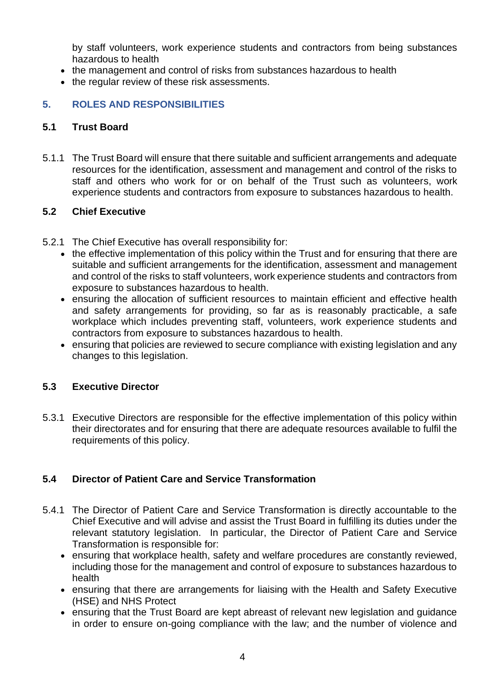by staff volunteers, work experience students and contractors from being substances hazardous to health

- the management and control of risks from substances hazardous to health
- the regular review of these risk assessments.

#### <span id="page-3-0"></span>**5. ROLES AND RESPONSIBILITIES**

#### **5.1 Trust Board**

5.1.1 The Trust Board will ensure that there suitable and sufficient arrangements and adequate resources for the identification, assessment and management and control of the risks to staff and others who work for or on behalf of the Trust such as volunteers, work experience students and contractors from exposure to substances hazardous to health.

#### **5.2 Chief Executive**

- 5.2.1 The Chief Executive has overall responsibility for:
	- the effective implementation of this policy within the Trust and for ensuring that there are suitable and sufficient arrangements for the identification, assessment and management and control of the risks to staff volunteers, work experience students and contractors from exposure to substances hazardous to health.
	- ensuring the allocation of sufficient resources to maintain efficient and effective health and safety arrangements for providing, so far as is reasonably practicable, a safe workplace which includes preventing staff, volunteers, work experience students and contractors from exposure to substances hazardous to health.
	- ensuring that policies are reviewed to secure compliance with existing legislation and any changes to this legislation.

#### **5.3 Executive Director**

5.3.1 Executive Directors are responsible for the effective implementation of this policy within their directorates and for ensuring that there are adequate resources available to fulfil the requirements of this policy.

#### **5.4 Director of Patient Care and Service Transformation**

- 5.4.1 The Director of Patient Care and Service Transformation is directly accountable to the Chief Executive and will advise and assist the Trust Board in fulfilling its duties under the relevant statutory legislation. In particular, the Director of Patient Care and Service Transformation is responsible for:
	- ensuring that workplace health, safety and welfare procedures are constantly reviewed, including those for the management and control of exposure to substances hazardous to health
	- ensuring that there are arrangements for liaising with the Health and Safety Executive (HSE) and NHS Protect
	- ensuring that the Trust Board are kept abreast of relevant new legislation and guidance in order to ensure on-going compliance with the law; and the number of violence and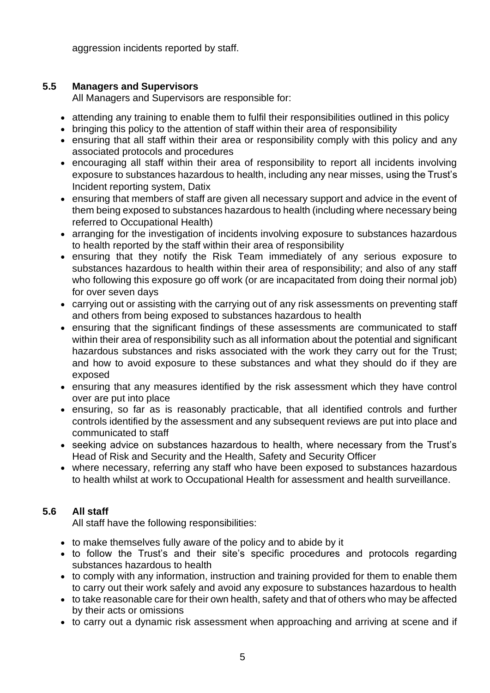aggression incidents reported by staff.

# **5.5 Managers and Supervisors**

All Managers and Supervisors are responsible for:

- attending any training to enable them to fulfil their responsibilities outlined in this policy
- bringing this policy to the attention of staff within their area of responsibility
- ensuring that all staff within their area or responsibility comply with this policy and any associated protocols and procedures
- encouraging all staff within their area of responsibility to report all incidents involving exposure to substances hazardous to health, including any near misses, using the Trust's Incident reporting system, Datix
- ensuring that members of staff are given all necessary support and advice in the event of them being exposed to substances hazardous to health (including where necessary being referred to Occupational Health)
- arranging for the investigation of incidents involving exposure to substances hazardous to health reported by the staff within their area of responsibility
- ensuring that they notify the Risk Team immediately of any serious exposure to substances hazardous to health within their area of responsibility; and also of any staff who following this exposure go off work (or are incapacitated from doing their normal job) for over seven days
- carrying out or assisting with the carrying out of any risk assessments on preventing staff and others from being exposed to substances hazardous to health
- ensuring that the significant findings of these assessments are communicated to staff within their area of responsibility such as all information about the potential and significant hazardous substances and risks associated with the work they carry out for the Trust; and how to avoid exposure to these substances and what they should do if they are exposed
- ensuring that any measures identified by the risk assessment which they have control over are put into place
- ensuring, so far as is reasonably practicable, that all identified controls and further controls identified by the assessment and any subsequent reviews are put into place and communicated to staff
- seeking advice on substances hazardous to health, where necessary from the Trust's Head of Risk and Security and the Health, Safety and Security Officer
- where necessary, referring any staff who have been exposed to substances hazardous to health whilst at work to Occupational Health for assessment and health surveillance.

# **5.6 All staff**

All staff have the following responsibilities:

- to make themselves fully aware of the policy and to abide by it
- to follow the Trust's and their site's specific procedures and protocols regarding substances hazardous to health
- to comply with any information, instruction and training provided for them to enable them to carry out their work safely and avoid any exposure to substances hazardous to health
- to take reasonable care for their own health, safety and that of others who may be affected by their acts or omissions
- to carry out a dynamic risk assessment when approaching and arriving at scene and if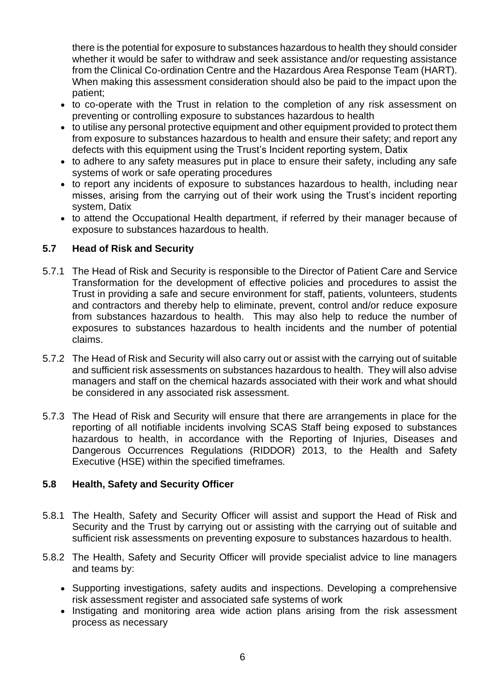there is the potential for exposure to substances hazardous to health they should consider whether it would be safer to withdraw and seek assistance and/or requesting assistance from the Clinical Co-ordination Centre and the Hazardous Area Response Team (HART). When making this assessment consideration should also be paid to the impact upon the patient;

- to co-operate with the Trust in relation to the completion of any risk assessment on preventing or controlling exposure to substances hazardous to health
- to utilise any personal protective equipment and other equipment provided to protect them from exposure to substances hazardous to health and ensure their safety; and report any defects with this equipment using the Trust's Incident reporting system, Datix
- to adhere to any safety measures put in place to ensure their safety, including any safe systems of work or safe operating procedures
- to report any incidents of exposure to substances hazardous to health, including near misses, arising from the carrying out of their work using the Trust's incident reporting system, Datix
- to attend the Occupational Health department, if referred by their manager because of exposure to substances hazardous to health.

#### **5.7 Head of Risk and Security**

- 5.7.1 The Head of Risk and Security is responsible to the Director of Patient Care and Service Transformation for the development of effective policies and procedures to assist the Trust in providing a safe and secure environment for staff, patients, volunteers, students and contractors and thereby help to eliminate, prevent, control and/or reduce exposure from substances hazardous to health. This may also help to reduce the number of exposures to substances hazardous to health incidents and the number of potential claims.
- 5.7.2 The Head of Risk and Security will also carry out or assist with the carrying out of suitable and sufficient risk assessments on substances hazardous to health. They will also advise managers and staff on the chemical hazards associated with their work and what should be considered in any associated risk assessment.
- 5.7.3 The Head of Risk and Security will ensure that there are arrangements in place for the reporting of all notifiable incidents involving SCAS Staff being exposed to substances hazardous to health, in accordance with the Reporting of Injuries, Diseases and Dangerous Occurrences Regulations (RIDDOR) 2013, to the Health and Safety Executive (HSE) within the specified timeframes.

#### **5.8 Health, Safety and Security Officer**

- 5.8.1 The Health, Safety and Security Officer will assist and support the Head of Risk and Security and the Trust by carrying out or assisting with the carrying out of suitable and sufficient risk assessments on preventing exposure to substances hazardous to health.
- 5.8.2 The Health, Safety and Security Officer will provide specialist advice to line managers and teams by:
	- Supporting investigations, safety audits and inspections. Developing a comprehensive risk assessment register and associated safe systems of work
	- Instigating and monitoring area wide action plans arising from the risk assessment process as necessary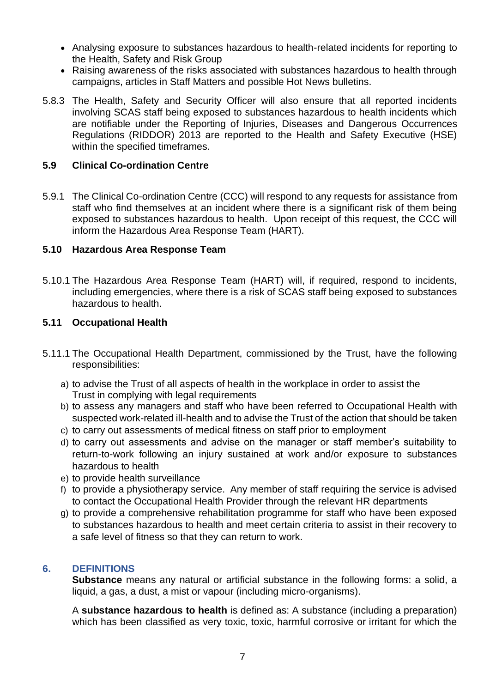- Analysing exposure to substances hazardous to health-related incidents for reporting to the Health, Safety and Risk Group
- Raising awareness of the risks associated with substances hazardous to health through campaigns, articles in Staff Matters and possible Hot News bulletins.
- 5.8.3 The Health, Safety and Security Officer will also ensure that all reported incidents involving SCAS staff being exposed to substances hazardous to health incidents which are notifiable under the Reporting of Injuries, Diseases and Dangerous Occurrences Regulations (RIDDOR) 2013 are reported to the Health and Safety Executive (HSE) within the specified timeframes.

#### **5.9 Clinical Co-ordination Centre**

5.9.1 The Clinical Co-ordination Centre (CCC) will respond to any requests for assistance from staff who find themselves at an incident where there is a significant risk of them being exposed to substances hazardous to health. Upon receipt of this request, the CCC will inform the Hazardous Area Response Team (HART).

#### **5.10 Hazardous Area Response Team**

5.10.1 The Hazardous Area Response Team (HART) will, if required, respond to incidents, including emergencies, where there is a risk of SCAS staff being exposed to substances hazardous to health.

#### **5.11 Occupational Health**

- 5.11.1 The Occupational Health Department, commissioned by the Trust, have the following responsibilities:
	- a) to advise the Trust of all aspects of health in the workplace in order to assist the Trust in complying with legal requirements
	- b) to assess any managers and staff who have been referred to Occupational Health with suspected work-related ill-health and to advise the Trust of the action that should be taken
	- c) to carry out assessments of medical fitness on staff prior to employment
	- d) to carry out assessments and advise on the manager or staff member's suitability to return-to-work following an injury sustained at work and/or exposure to substances hazardous to health
	- e) to provide health surveillance
	- f) to provide a physiotherapy service. Any member of staff requiring the service is advised to contact the Occupational Health Provider through the relevant HR departments
	- g) to provide a comprehensive rehabilitation programme for staff who have been exposed to substances hazardous to health and meet certain criteria to assist in their recovery to a safe level of fitness so that they can return to work.

# <span id="page-6-0"></span>**6. DEFINITIONS**

**Substance** means any natural or artificial substance in the following forms: a solid, a liquid, a gas, a dust, a mist or vapour (including micro-organisms).

A **substance hazardous to health** is defined as: A substance (including a preparation) which has been classified as very toxic, toxic, harmful corrosive or irritant for which the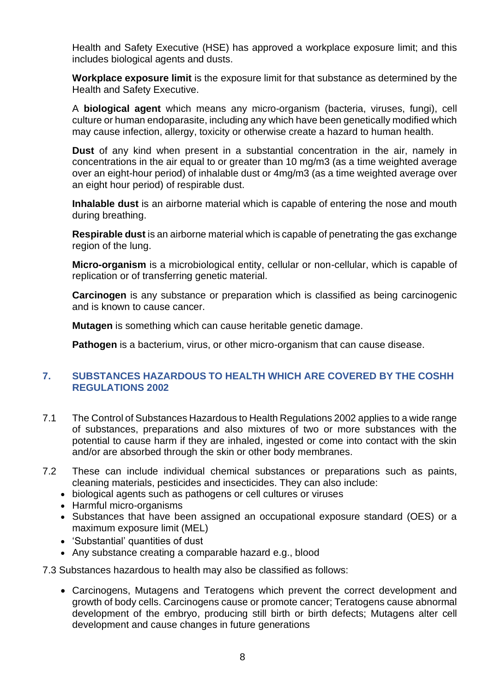Health and Safety Executive (HSE) has approved a workplace exposure limit; and this includes biological agents and dusts.

**Workplace exposure limit** is the exposure limit for that substance as determined by the Health and Safety Executive.

A **biological agent** which means any micro-organism (bacteria, viruses, fungi), cell culture or human endoparasite, including any which have been genetically modified which may cause infection, allergy, toxicity or otherwise create a hazard to human health.

**Dust** of any kind when present in a substantial concentration in the air, namely in concentrations in the air equal to or greater than 10 mg/m3 (as a time weighted average over an eight-hour period) of inhalable dust or 4mg/m3 (as a time weighted average over an eight hour period) of respirable dust.

**Inhalable dust** is an airborne material which is capable of entering the nose and mouth during breathing.

**Respirable dust** is an airborne material which is capable of penetrating the gas exchange region of the lung.

**Micro-organism** is a microbiological entity, cellular or non-cellular, which is capable of replication or of transferring genetic material.

**Carcinogen** is any substance or preparation which is classified as being carcinogenic and is known to cause cancer.

**Mutagen** is something which can cause heritable genetic damage.

**Pathogen** is a bacterium, virus, or other micro-organism that can cause disease.

#### <span id="page-7-0"></span>**7. SUBSTANCES HAZARDOUS TO HEALTH WHICH ARE COVERED BY THE COSHH REGULATIONS 2002**

- 7.1 The Control of Substances Hazardous to Health Regulations 2002 applies to a wide range of substances, preparations and also mixtures of two or more substances with the potential to cause harm if they are inhaled, ingested or come into contact with the skin and/or are absorbed through the skin or other body membranes.
- 7.2 These can include individual chemical substances or preparations such as paints, cleaning materials, pesticides and insecticides. They can also include:
	- biological agents such as pathogens or cell cultures or viruses
	- Harmful micro-organisms
	- Substances that have been assigned an occupational exposure standard (OES) or a maximum exposure limit (MEL)
	- 'Substantial' quantities of dust
	- Any substance creating a comparable hazard e.g., blood

7.3 Substances hazardous to health may also be classified as follows:

• Carcinogens, Mutagens and Teratogens which prevent the correct development and growth of body cells. Carcinogens cause or promote cancer; Teratogens cause abnormal development of the embryo, producing still birth or birth defects; Mutagens alter cell development and cause changes in future generations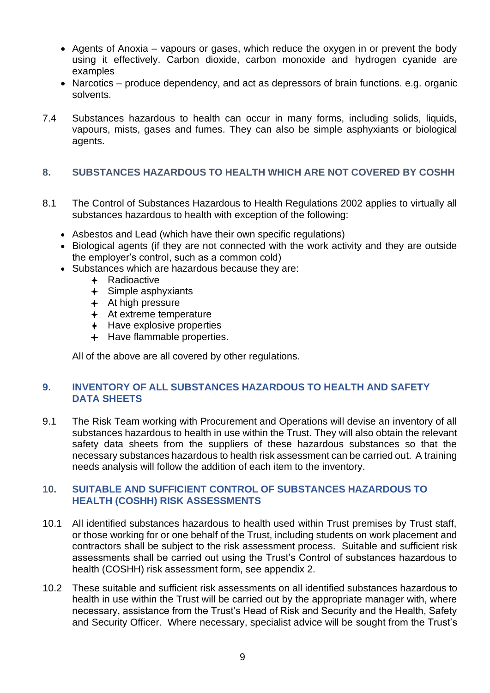- Agents of Anoxia vapours or gases, which reduce the oxygen in or prevent the body using it effectively. Carbon dioxide, carbon monoxide and hydrogen cyanide are examples
- Narcotics produce dependency, and act as depressors of brain functions. e.g. organic solvents.
- 7.4 Substances hazardous to health can occur in many forms, including solids, liquids, vapours, mists, gases and fumes. They can also be simple asphyxiants or biological agents.

#### <span id="page-8-0"></span>**8. SUBSTANCES HAZARDOUS TO HEALTH WHICH ARE NOT COVERED BY COSHH**

- 8.1 The Control of Substances Hazardous to Health Regulations 2002 applies to virtually all substances hazardous to health with exception of the following:
	- Asbestos and Lead (which have their own specific regulations)
	- Biological agents (if they are not connected with the work activity and they are outside the employer's control, such as a common cold)
	- Substances which are hazardous because they are:
		- $\leftarrow$  Radioactive
		- $\div$  Simple asphyxiants
		- $+$  At high pressure
		- At extreme temperature
		- $+$  Have explosive properties
		- $+$  Have flammable properties.

All of the above are all covered by other regulations.

#### <span id="page-8-1"></span>**9. INVENTORY OF ALL SUBSTANCES HAZARDOUS TO HEALTH AND SAFETY DATA SHEETS**

9.1 The Risk Team working with Procurement and Operations will devise an inventory of all substances hazardous to health in use within the Trust. They will also obtain the relevant safety data sheets from the suppliers of these hazardous substances so that the necessary substances hazardous to health risk assessment can be carried out. A training needs analysis will follow the addition of each item to the inventory.

#### <span id="page-8-2"></span>**10. SUITABLE AND SUFFICIENT CONTROL OF SUBSTANCES HAZARDOUS TO HEALTH (COSHH) RISK ASSESSMENTS**

- 10.1 All identified substances hazardous to health used within Trust premises by Trust staff, or those working for or one behalf of the Trust, including students on work placement and contractors shall be subject to the risk assessment process. Suitable and sufficient risk assessments shall be carried out using the Trust's Control of substances hazardous to health (COSHH) risk assessment form, see appendix 2.
- 10.2 These suitable and sufficient risk assessments on all identified substances hazardous to health in use within the Trust will be carried out by the appropriate manager with, where necessary, assistance from the Trust's Head of Risk and Security and the Health, Safety and Security Officer. Where necessary, specialist advice will be sought from the Trust's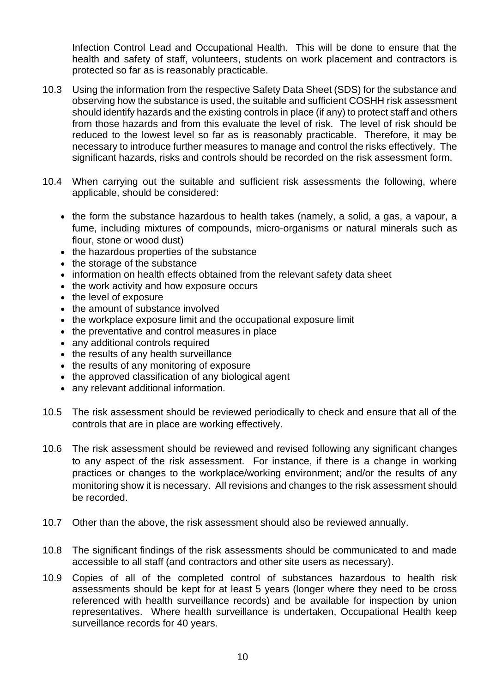Infection Control Lead and Occupational Health. This will be done to ensure that the health and safety of staff, volunteers, students on work placement and contractors is protected so far as is reasonably practicable.

- 10.3 Using the information from the respective Safety Data Sheet (SDS) for the substance and observing how the substance is used, the suitable and sufficient COSHH risk assessment should identify hazards and the existing controls in place (if any) to protect staff and others from those hazards and from this evaluate the level of risk. The level of risk should be reduced to the lowest level so far as is reasonably practicable. Therefore, it may be necessary to introduce further measures to manage and control the risks effectively. The significant hazards, risks and controls should be recorded on the risk assessment form.
- 10.4 When carrying out the suitable and sufficient risk assessments the following, where applicable, should be considered:
	- the form the substance hazardous to health takes (namely, a solid, a gas, a vapour, a fume, including mixtures of compounds, micro-organisms or natural minerals such as flour, stone or wood dust)
	- the hazardous properties of the substance
	- the storage of the substance
	- information on health effects obtained from the relevant safety data sheet
	- the work activity and how exposure occurs
	- the level of exposure
	- the amount of substance involved
	- the workplace exposure limit and the occupational exposure limit
	- the preventative and control measures in place
	- any additional controls required
	- the results of any health surveillance
	- the results of any monitoring of exposure
	- the approved classification of any biological agent
	- any relevant additional information.
- 10.5 The risk assessment should be reviewed periodically to check and ensure that all of the controls that are in place are working effectively.
- 10.6 The risk assessment should be reviewed and revised following any significant changes to any aspect of the risk assessment. For instance, if there is a change in working practices or changes to the workplace/working environment; and/or the results of any monitoring show it is necessary. All revisions and changes to the risk assessment should be recorded.
- 10.7 Other than the above, the risk assessment should also be reviewed annually.
- 10.8 The significant findings of the risk assessments should be communicated to and made accessible to all staff (and contractors and other site users as necessary).
- 10.9 Copies of all of the completed control of substances hazardous to health risk assessments should be kept for at least 5 years (longer where they need to be cross referenced with health surveillance records) and be available for inspection by union representatives. Where health surveillance is undertaken, Occupational Health keep surveillance records for 40 years.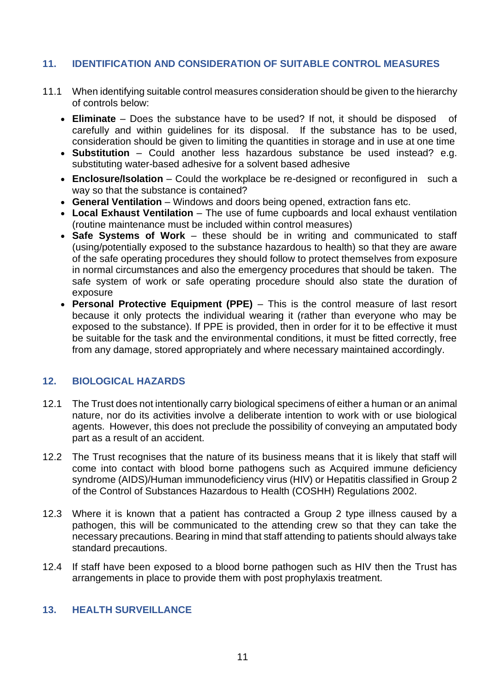# <span id="page-10-0"></span>**11. IDENTIFICATION AND CONSIDERATION OF SUITABLE CONTROL MEASURES**

- 11.1 When identifying suitable control measures consideration should be given to the hierarchy of controls below:
	- **Eliminate**  Does the substance have to be used? If not, it should be disposed of carefully and within guidelines for its disposal. If the substance has to be used, consideration should be given to limiting the quantities in storage and in use at one time
	- **Substitution**  Could another less hazardous substance be used instead? e.g. substituting water-based adhesive for a solvent based adhesive
	- **Enclosure/Isolation** Could the workplace be re-designed or reconfigured in such a way so that the substance is contained?
	- **General Ventilation**  Windows and doors being opened, extraction fans etc.
	- Local Exhaust Ventilation The use of fume cupboards and local exhaust ventilation (routine maintenance must be included within control measures)
	- **Safe Systems of Work**  these should be in writing and communicated to staff (using/potentially exposed to the substance hazardous to health) so that they are aware of the safe operating procedures they should follow to protect themselves from exposure in normal circumstances and also the emergency procedures that should be taken. The safe system of work or safe operating procedure should also state the duration of exposure
	- **Personal Protective Equipment (PPE)**  This is the control measure of last resort because it only protects the individual wearing it (rather than everyone who may be exposed to the substance). If PPE is provided, then in order for it to be effective it must be suitable for the task and the environmental conditions, it must be fitted correctly, free from any damage, stored appropriately and where necessary maintained accordingly.

# <span id="page-10-1"></span>**12. BIOLOGICAL HAZARDS**

- 12.1 The Trust does not intentionally carry biological specimens of either a human or an animal nature, nor do its activities involve a deliberate intention to work with or use biological agents. However, this does not preclude the possibility of conveying an amputated body part as a result of an accident.
- 12.2 The Trust recognises that the nature of its business means that it is likely that staff will come into contact with blood borne pathogens such as Acquired immune deficiency syndrome (AIDS)/Human immunodeficiency virus (HIV) or Hepatitis classified in Group 2 of the Control of Substances Hazardous to Health (COSHH) Regulations 2002.
- 12.3 Where it is known that a patient has contracted a Group 2 type illness caused by a pathogen, this will be communicated to the attending crew so that they can take the necessary precautions. Bearing in mind that staff attending to patients should always take standard precautions.
- 12.4 If staff have been exposed to a blood borne pathogen such as HIV then the Trust has arrangements in place to provide them with post prophylaxis treatment.

# <span id="page-10-2"></span>**13. HEALTH SURVEILLANCE**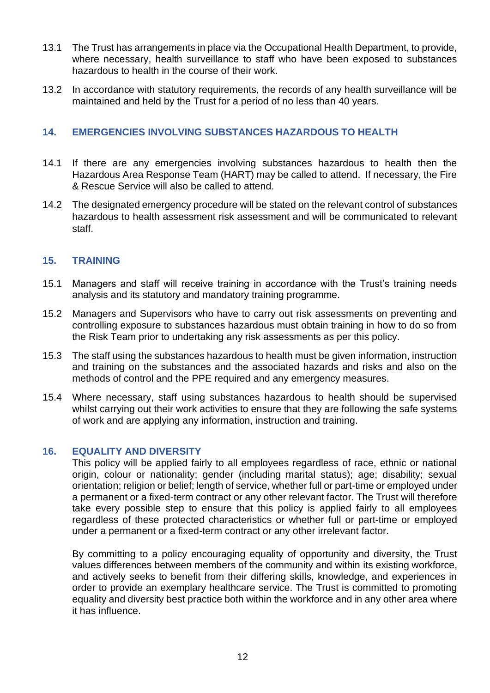- 13.1 The Trust has arrangements in place via the Occupational Health Department, to provide, where necessary, health surveillance to staff who have been exposed to substances hazardous to health in the course of their work.
- 13.2 In accordance with statutory requirements, the records of any health surveillance will be maintained and held by the Trust for a period of no less than 40 years.

#### <span id="page-11-0"></span>**14. EMERGENCIES INVOLVING SUBSTANCES HAZARDOUS TO HEALTH**

- 14.1 If there are any emergencies involving substances hazardous to health then the Hazardous Area Response Team (HART) may be called to attend. If necessary, the Fire & Rescue Service will also be called to attend.
- 14.2 The designated emergency procedure will be stated on the relevant control of substances hazardous to health assessment risk assessment and will be communicated to relevant staff.

#### <span id="page-11-1"></span>**15. TRAINING**

- 15.1 Managers and staff will receive training in accordance with the Trust's training needs analysis and its statutory and mandatory training programme.
- 15.2 Managers and Supervisors who have to carry out risk assessments on preventing and controlling exposure to substances hazardous must obtain training in how to do so from the Risk Team prior to undertaking any risk assessments as per this policy.
- 15.3 The staff using the substances hazardous to health must be given information, instruction and training on the substances and the associated hazards and risks and also on the methods of control and the PPE required and any emergency measures.
- 15.4 Where necessary, staff using substances hazardous to health should be supervised whilst carrying out their work activities to ensure that they are following the safe systems of work and are applying any information, instruction and training.

#### <span id="page-11-2"></span>**16. EQUALITY AND DIVERSITY**

 This policy will be applied fairly to all employees regardless of race, ethnic or national origin, colour or nationality; gender (including marital status); age; disability; sexual orientation; religion or belief; length of service, whether full or part-time or employed under a permanent or a fixed-term contract or any other relevant factor. The Trust will therefore take every possible step to ensure that this policy is applied fairly to all employees regardless of these protected characteristics or whether full or part-time or employed under a permanent or a fixed-term contract or any other irrelevant factor.

By committing to a policy encouraging equality of opportunity and diversity, the Trust values differences between members of the community and within its existing workforce, and actively seeks to benefit from their differing skills, knowledge, and experiences in order to provide an exemplary healthcare service. The Trust is committed to promoting equality and diversity best practice both within the workforce and in any other area where it has influence.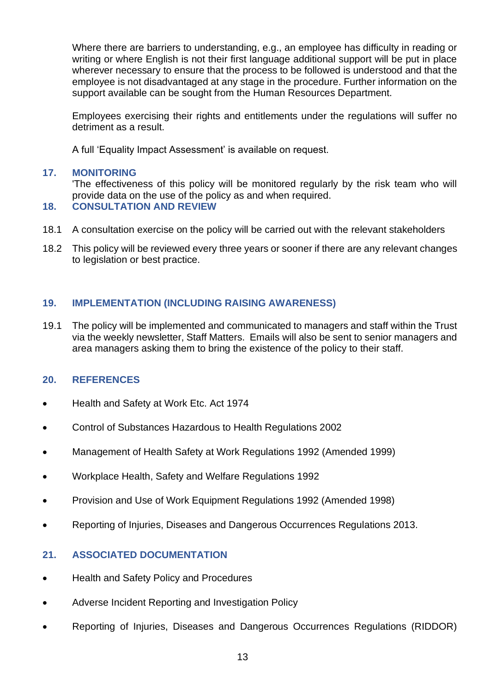Where there are barriers to understanding, e.g., an employee has difficulty in reading or writing or where English is not their first language additional support will be put in place wherever necessary to ensure that the process to be followed is understood and that the employee is not disadvantaged at any stage in the procedure. Further information on the support available can be sought from the Human Resources Department.

Employees exercising their rights and entitlements under the regulations will suffer no detriment as a result.

A full 'Equality Impact Assessment' is available on request.

#### <span id="page-12-0"></span>**17. MONITORING**

'The effectiveness of this policy will be monitored regularly by the risk team who will provide data on the use of the policy as and when required.

#### <span id="page-12-1"></span>**18. CONSULTATION AND REVIEW**

- 18.1 A consultation exercise on the policy will be carried out with the relevant stakeholders
- 18.2 This policy will be reviewed every three years or sooner if there are any relevant changes to legislation or best practice.

#### <span id="page-12-2"></span>**19. IMPLEMENTATION (INCLUDING RAISING AWARENESS)**

19.1 The policy will be implemented and communicated to managers and staff within the Trust via the weekly newsletter, Staff Matters. Emails will also be sent to senior managers and area managers asking them to bring the existence of the policy to their staff.

# <span id="page-12-3"></span>**20. REFERENCES**

- Health and Safety at Work Etc. Act 1974
- Control of Substances Hazardous to Health Regulations 2002
- Management of Health Safety at Work Regulations 1992 (Amended 1999)
- Workplace Health, Safety and Welfare Regulations 1992
- Provision and Use of Work Equipment Regulations 1992 (Amended 1998)
- Reporting of Injuries, Diseases and Dangerous Occurrences Regulations 2013.

#### <span id="page-12-4"></span>**21. ASSOCIATED DOCUMENTATION**

- Health and Safety Policy and Procedures
- Adverse Incident Reporting and Investigation Policy
- Reporting of Injuries, Diseases and Dangerous Occurrences Regulations (RIDDOR)